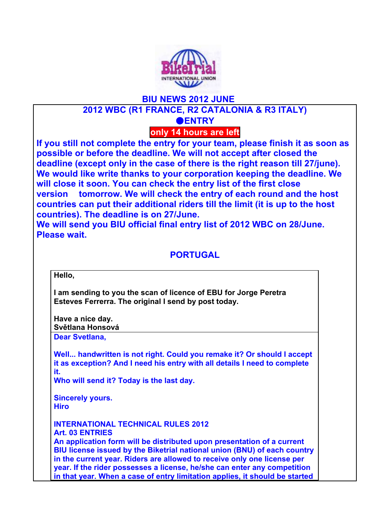

# **BIU NEWS 2012 JUNE 2012 WBC (R1 FRANCE, R2 CATALONIA & R3 ITALY)** ●**ENTRY**

**only 14 hours are left**

**If you still not complete the entry for your team, please finish it as soon as possible or before the deadline. We will not accept after closed the deadline (except only in the case of there is the right reason till 27/june). We would like write thanks to your corporation keeping the deadline. We will close it soon. You can check the entry list of the first close version tomorrow. We will check the entry of each round and the host countries can put their additional riders till the limit (it is up to the host countries). The deadline is on 27/June.** 

**We will send you BIU official final entry list of 2012 WBC on 28/June. Please wait.**

## **PORTUGAL**

**Hello,** 

**I am sending to you the scan of licence of EBU for Jorge Peretra Esteves Ferrerra. The original I send by post today.**

**Have a nice day. Světlana Honsová Dear Svetlana,**

**Well... handwritten is not right. Could you remake it? Or should I accept it as exception? And I need his entry with all details I need to complete it.**

**Who will send it? Today is the last day.**

**Sincerely yours. Hiro**

**INTERNATIONAL TECHNICAL RULES 2012 Art. 03 ENTRIES An application form will be distributed upon presentation of a current BIU license issued by the Biketrial national union (BNU) of each country in the current year. Riders are allowed to receive only one license per year. If the rider possesses a license, he/she can enter any competition in that year. When a case of entry limitation applies, it should be started**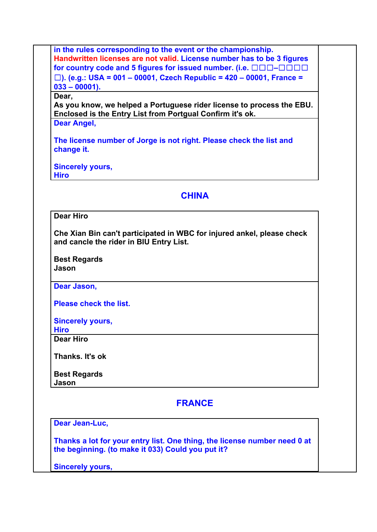**in the rules corresponding to the event or the championship. Handwritten licenses are not valid. License number has to be 3 figures for country code and 5 figures for issued number. (i.e.**  $\Box$  $\Box$  $\Box$  $\Box$  $\Box$  $\Box$  $\Box$ ☐**). (e.g.: USA = 001 – 00001, Czech Republic = 420 – 00001, France = 033 – 00001).** 

#### **Dear,**

**As you know, we helped a Portuguese rider license to process the EBU. Enclosed is the Entry List from Portgual Confirm it's ok.**

**Dear Angel,**

**The license number of Jorge is not right. Please check the list and change it.**

**Sincerely yours, Hiro**

**CHINA**

### **Dear Hiro**

**Che Xian Bin can't participated in WBC for injured ankel, please check and cancle the rider in BIU Entry List.**

**Best Regards Jason**

**Dear Jason,**

**Please check the list.**

**Sincerely yours,**

**Hiro Dear Hiro**

**Thanks. It's ok**

**Best Regards Jason**

### **FRANCE**

**Dear Jean-Luc,**

**Thanks a lot for your entry list. One thing, the license number need 0 at the beginning. (to make it 033) Could you put it?**

**Sincerely yours,**